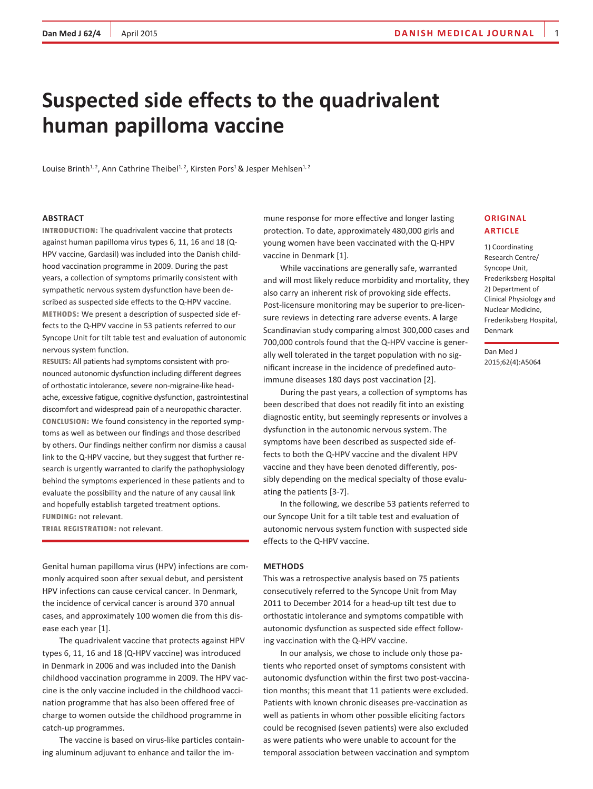# **Suspected side effects to the quadrivalent human papilloma vaccine**

Louise Brinth<sup>1, 2</sup>, Ann Cathrine Theibel<sup>1, 2</sup>, Kirsten Pors<sup>1</sup> & Jesper Mehlsen<sup>1, 2</sup>

### **ABSTRACT**

**INTRODUCTION:** The quadrivalent vaccine that protects against human papilloma virus types 6, 11, 16 and 18 (Q-HPV vaccine, Gardasil) was included into the Danish childhood vaccination programme in 2009. During the past years, a collection of symptoms primarily consistent with sympathetic nervous system dysfunction have been described as suspected side effects to the Q-HPV vaccine. **METHODS:** We present a description of suspected side effects to the Q-HPV vaccine in 53 patients referred to our Syncope Unit for tilt table test and evaluation of autonomic nervous system function.

**RESULTS:** All patients had symptoms consistent with pronounced autonomic dysfunction including different degrees of orthostatic intolerance, severe non-migraine-like headache, excessive fatigue, cognitive dysfunction, gastrointestinal discomfort and widespread pain of a neuropathic character. **CONCLUSION:** We found consistency in the reported symptoms as well as between our findings and those described by others. Our findings neither confirm nor dismiss a causal link to the Q-HPV vaccine, but they suggest that further research is urgently warranted to clarify the pathophysiology behind the symptoms experienced in these patients and to evaluate the possibility and the nature of any causal link and hopefully establish targeted treatment options. **FUNDING:** not relevant.

**TRIAL REGISTRATION:** not relevant.

Genital human papilloma virus (HPV) infections are commonly acquired soon after sexual debut, and persistent HPV infections can cause cervical cancer. In Denmark, the incidence of cervical cancer is around 370 annual cases, and approximately 100 women die from this disease each year [1].

The quadrivalent vaccine that protects against HPV types 6, 11, 16 and 18 (Q-HPV vaccine) was introduced in Denmark in 2006 and was included into the Danish childhood vaccination programme in 2009. The HPV vaccine is the only vaccine included in the childhood vaccination programme that has also been offered free of charge to women outside the childhood programme in catch-up programmes.

The vaccine is based on virus-like particles containing aluminum adjuvant to enhance and tailor the immune response for more effective and longer lasting protection. To date, approximately 480,000 girls and young women have been vaccinated with the Q-HPV vaccine in Denmark [1].

While vaccinations are generally safe, warranted and will most likely reduce morbidity and mortality, they also carry an inherent risk of provoking side effects. Post-licensure monitoring may be superior to pre-licensure reviews in detecting rare adverse events. A large Scandinavian study comparing almost 300,000 cases and 700,000 controls found that the Q-HPV vaccine is generally well tolerated in the target population with no significant increase in the incidence of predefined autoimmune diseases 180 days post vaccination [2].

During the past years, a collection of symptoms has been described that does not readily fit into an existing diagnostic entity, but seemingly represents or involves a dysfunction in the autonomic nervous system. The symptoms have been described as suspected side effects to both the Q-HPV vaccine and the divalent HPV vaccine and they have been denoted differently, possibly depending on the medical specialty of those evaluating the patients [3-7].

In the following, we describe 53 patients referred to our Syncope Unit for a tilt table test and evaluation of autonomic nervous system function with suspected side effects to the Q-HPV vaccine.

### **METHODS**

This was a retrospective analysis based on 75 patients consecutively referred to the Syncope Unit from May 2011 to December 2014 for a head-up tilt test due to orthostatic intolerance and symptoms compatible with autonomic dysfunction as suspected side effect following vaccination with the Q-HPV vaccine.

In our analysis, we chose to include only those patients who reported onset of symptoms consistent with autonomic dysfunction within the first two post-vaccination months; this meant that 11 patients were excluded. Patients with known chronic diseases pre-vaccination as well as patients in whom other possible eliciting factors could be recognised (seven patients) were also excluded as were patients who were unable to account for the temporal association between vaccination and symptom

# **Original article**

1) Coordinating Research Centre/ Syncope Unit, Frederiksberg Hospital 2) Department of Clinical Physiology and Nuclear Medicine, Frederiksberg Hospital, Denmark

Dan Med J 2015;62(4):A5064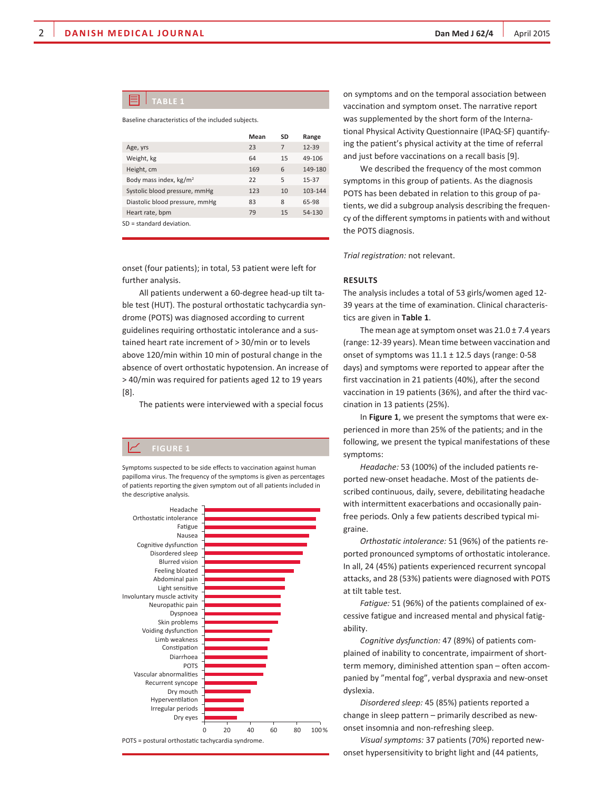# **TablE 1**

Baseline characteristics of the included subjects.

|                                    | Mean | SD | Range     |
|------------------------------------|------|----|-----------|
| Age, yrs                           | 23   | 7  | $12 - 39$ |
| Weight, kg                         | 64   | 15 | 49-106    |
| Height, cm                         | 169  | 6  | 149-180   |
| Body mass index, kg/m <sup>2</sup> | 22   | 5  | $15 - 37$ |
| Systolic blood pressure, mmHg      | 123  | 10 | 103-144   |
| Diastolic blood pressure, mmHg     | 83   | 8  | 65-98     |
| Heart rate, bpm                    | 79   | 15 | 54-130    |
| $SD = standard deviation$ .        |      |    |           |

onset (four patients); in total, 53 patient were left for further analysis.

All patients underwent a 60-degree head-up tilt table test (HUT). The postural orthostatic tachycardia syndrome (POTS) was diagnosed according to current guidelines requiring orthostatic intolerance and a sustained heart rate increment of > 30/min or to levels above 120/min within 10 min of postural change in the absence of overt orthostatic hypotension. An increase of > 40/min was required for patients aged 12 to 19 years [8].

The patients were interviewed with a special focus

Symptoms suspected to be side effects to vaccination against human papilloma virus. The frequency of the symptoms is given as percentages of patients reporting the given symptom out of all patients included in the descriptive analysis.



on symptoms and on the temporal association between vaccination and symptom onset. The narrative report was supplemented by the short form of the International Physical Activity Questionnaire (IPAQ-SF) quantifying the patient's physical activity at the time of referral and just before vaccinations on a recall basis [9].

We described the frequency of the most common symptoms in this group of patients. As the diagnosis POTS has been debated in relation to this group of patients, we did a subgroup analysis describing the frequency of the different symptoms in patients with and without the POTS diagnosis.

*Trial registration:* not relevant.

## **RESULTS**

The analysis includes a total of 53 girls/women aged 12- 39 years at the time of examination. Clinical characteristics are given in **Table 1**.

The mean age at symptom onset was  $21.0 \pm 7.4$  years (range: 12-39 years). Mean time between vaccination and onset of symptoms was  $11.1 \pm 12.5$  days (range: 0-58 days) and symptoms were reported to appear after the first vaccination in 21 patients (40%), after the second vaccination in 19 patients (36%), and after the third vaccination in 13 patients (25%).

In **Figure 1**, we present the symptoms that were experienced in more than 25% of the patients; and in the following, we present the typical manifestations of these symptoms:

*Headache:* 53 (100%) of the included patients reported new-onset headache. Most of the patients described continuous, daily, severe, debilitating headache with intermittent exacerbations and occasionally painfree periods. Only a few patients described typical migraine.

*Orthostatic intolerance:* 51 (96%) of the patients reported pronounced symptoms of orthostatic intolerance. In all, 24 (45%) patients experienced recurrent syncopal attacks, and 28 (53%) patients were diagnosed with POTS at tilt table test.

*Fatigue:* 51 (96%) of the patients complained of excessive fatigue and increased mental and physical fatigability.

*Cognitive dysfunction:* 47 (89%) of patients complained of inability to concentrate, impairment of shortterm memory, diminished attention span – often accompanied by "mental fog", verbal dyspraxia and new-onset dyslexia.

*Disordered sleep:* 45 (85%) patients reported a change in sleep pattern – primarily described as newonset insomnia and non-refreshing sleep.

*Visual symptoms:* 37 patients (70%) reported newonset hypersensitivity to bright light and (44 patients,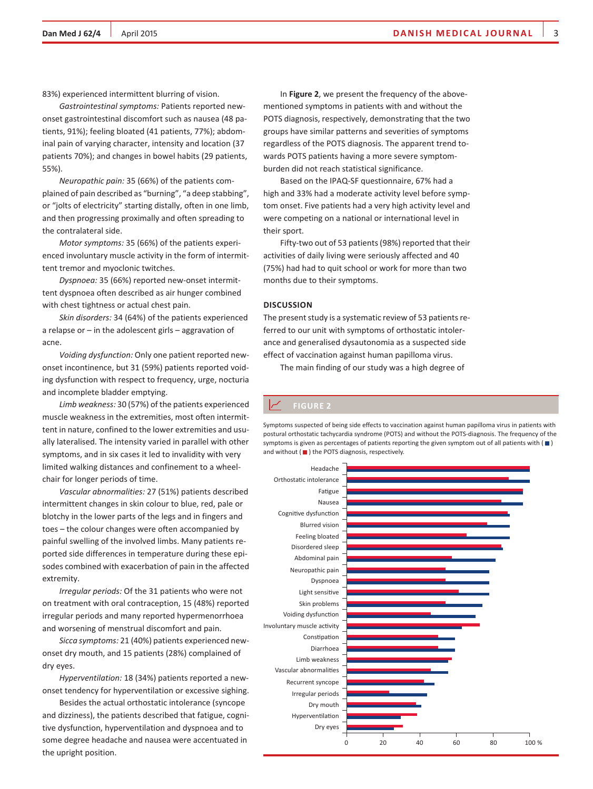83%) experienced intermittent blurring of vision.

*Gastrointestinal symptoms:* Patients reported newonset gastrointestinal discomfort such as nausea (48 patients, 91%); feeling bloated (41 patients, 77%); abdominal pain of varying character, intensity and location (37 patients 70%); and changes in bowel habits (29 patients, 55%).

*Neuropathic pain:* 35 (66%) of the patients complained of pain described as "burning", "a deep stabbing", or "jolts of electricity" starting distally, often in one limb, and then progressing proximally and often spreading to the contralateral side.

*Motor symptoms:* 35 (66%) of the patients experienced involuntary muscle activity in the form of intermittent tremor and myoclonic twitches.

*Dyspnoea:* 35 (66%) reported new-onset intermittent dyspnoea often described as air hunger combined with chest tightness or actual chest pain.

*Skin disorders:* 34 (64%) of the patients experienced a relapse or – in the adolescent girls – aggravation of acne.

*Voiding dysfunction:* Only one patient reported newonset incontinence, but 31 (59%) patients reported voiding dysfunction with respect to frequency, urge, nocturia and incomplete bladder emptying.

*Limb weakness:* 30 (57%) of the patients experienced muscle weakness in the extremities, most often intermittent in nature, confined to the lower extremities and usually lateralised. The intensity varied in parallel with other symptoms, and in six cases it led to invalidity with very limited walking distances and confinement to a wheelchair for longer periods of time.

*Vascular abnormalities:* 27 (51%) patients described intermittent changes in skin colour to blue, red, pale or blotchy in the lower parts of the legs and in fingers and toes – the colour changes were often accompanied by painful swelling of the involved limbs. Many patients reported side differences in temperature during these episodes combined with exacerbation of pain in the affected extremity.

*Irregular periods:* Of the 31 patients who were not on treatment with oral contraception, 15 (48%) reported irregular periods and many reported hypermenorrhoea and worsening of menstrual discomfort and pain.

*Sicca symptoms:* 21 (40%) patients experienced newonset dry mouth, and 15 patients (28%) complained of dry eyes.

*Hyperventilation:* 18 (34%) patients reported a newonset tendency for hyperventilation or excessive sighing.

Besides the actual orthostatic intolerance (syncope and dizziness), the patients described that fatigue, cognitive dysfunction, hyperventilation and dyspnoea and to some degree headache and nausea were accentuated in the upright position.

In **Figure 2**, we present the frequency of the abovementioned symptoms in patients with and without the POTS diagnosis, respectively, demonstrating that the two groups have similar patterns and severities of symptoms regardless of the POTS diagnosis. The apparent trend towards POTS patients having a more severe symptomburden did not reach statistical significance.

Based on the IPAQ-SF questionnaire, 67% had a high and 33% had a moderate activity level before symptom onset. Five patients had a very high activity level and were competing on a national or international level in their sport.

Fifty-two out of 53 patients (98%) reported that their activities of daily living were seriously affected and 40 (75%) had had to quit school or work for more than two months due to their symptoms.

### **DISCUSSION**

The present study is a systematic review of 53 patients referred to our unit with symptoms of orthostatic intolerance and generalised dysautonomia as a suspected side effect of vaccination against human papilloma virus.

The main finding of our study was a high degree of

Symptoms suspected of being side effects to vaccination against human papilloma virus in patients with postural orthostatic tachycardia syndrome (POTS) and without the POTS-diagnosis. The frequency of the symptoms is given as percentages of patients reporting the given symptom out of all patients with  $(\blacksquare)$ and without ( $\blacksquare$ ) the POTS diagnosis, respectively.

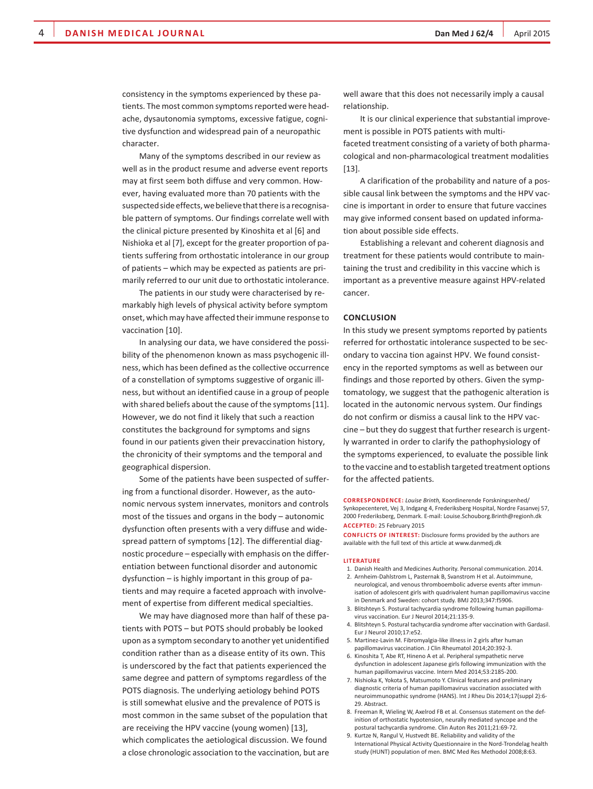consistency in the symptoms experienced by these patients. The most common symptoms reported were headache, dysautonomia symptoms, excessive fatigue, cognitive dysfunction and widespread pain of a neuropathic character.

Many of the symptoms described in our review as well as in the product resume and adverse event reports may at first seem both diffuse and very common. However, having evaluated more than 70 patients with the suspected side effects, we believe that there is a recognisable pattern of symptoms. Our findings correlate well with the clinical picture presented by Kinoshita et al [6] and Nishioka et al [7], except for the greater proportion of patients suffering from orthostatic intolerance in our group of patients – which may be expected as patients are primarily referred to our unit due to orthostatic intolerance.

The patients in our study were characterised by remarkably high levels of physical activity before symptom onset, which may have affected their immune response to vaccination [10].

In analysing our data, we have considered the possibility of the phenomenon known as mass psychogenic illness, which has been defined as the collective occurrence of a constellation of symptoms suggestive of organic illness, but without an identified cause in a group of people with shared beliefs about the cause of the symptoms [11]. However, we do not find it likely that such a reaction constitutes the background for symptoms and signs found in our patients given their prevaccination history, the chronicity of their symptoms and the temporal and geographical dispersion.

Some of the patients have been suspected of suffering from a functional disorder. However, as the autonomic nervous system innervates, monitors and controls most of the tissues and organs in the body – autonomic dysfunction often presents with a very diffuse and widespread pattern of symptoms [12]. The differential diagnostic procedure – especially with emphasis on the differentiation between functional disorder and autonomic dysfunction – is highly important in this group of patients and may require a faceted approach with involvement of expertise from different medical specialties.

We may have diagnosed more than half of these patients with POTS – but POTS should probably be looked upon as a symptom secondary to another yet unidentified condition rather than as a disease entity of its own. This is underscored by the fact that patients experienced the same degree and pattern of symptoms regardless of the POTS diagnosis. The underlying aetiology behind POTS is still somewhat elusive and the prevalence of POTS is most common in the same subset of the population that are receiving the HPV vaccine (young women) [13], which complicates the aetiological discussion. We found a close chronologic association to the vaccination, but are well aware that this does not necessarily imply a causal relationship.

It is our clinical experience that substantial improvement is possible in POTS patients with multi-

faceted treatment consisting of a variety of both pharmacological and non-pharmacological treatment modalities [13].

A clarification of the probability and nature of a possible causal link between the symptoms and the HPV vaccine is important in order to ensure that future vaccines may give informed consent based on updated information about possible side effects.

Establishing a relevant and coherent diagnosis and treatment for these patients would contribute to maintaining the trust and credibility in this vaccine which is important as a preventive measure against HPV-related cancer.

# **CONCLUSION**

In this study we present symptoms reported by patients referred for orthostatic intolerance suspected to be secondary to vaccina tion against HPV. We found consistency in the reported symptoms as well as between our findings and those reported by others. Given the symptomatology, we suggest that the pathogenic alteration is located in the autonomic nervous system. Our findings do not confirm or dismiss a causal link to the HPV vaccine – but they do suggest that further research is urgently warranted in order to clarify the pathophysiology of the symptoms experienced, to evaluate the possible link to the vaccine and to establish targeted treatment options for the affected patients.

**CORRESPONDENCE:** *Louise Brinth,* Koordinerende Forskningsenhed/ Synkopecenteret, Vej 3, Indgang 4, Frederiksberg Hospital, Nordre Fasanvej 57, 2000 Frederiksberg, Denmark. E-mail: Louise.Schouborg.Brinth@regionh.dk **ACCEPTED:** 25 February 2015

**CONFLICTS OF INTEREST:** Disclosure forms provided by the authors are available with the full text of this article at www.danmedj.dk

### **LITERATURE**

- 1. Danish Health and Medicines Authority. Personal communication. 2014. 2. Arnheim-Dahlstrom L, Pasternak B, Svanstrom H et al. Autoimmune,
- neurological, and venous thromboembolic adverse events after immunisation of adolescent girls with quadrivalent human papillomavirus vaccine in Denmark and Sweden: cohort study. BMJ 2013;347:f5906.
- 3. Blitshteyn S. Postural tachycardia syndrome following human papillomavirus vaccination. Eur J Neurol 2014;21:135-9.
- 4. Blitshteyn S. Postural tachycardia syndrome after vaccination with Gardasil. Eur J Neurol 2010;17:e52.
- 5. Martinez-Lavin M. Fibromyalgia-like illness in 2 girls after human papillomavirus vaccination. J Clin Rheumatol 2014;20:392-3.
- 6. Kinoshita T, Abe RT, Hineno A et al. Peripheral sympathetic nerve dysfunction in adolescent Japanese girls following immunization with the human papillomavirus vaccine. Intern Med 2014;53:2185-200.
- 7. Nishioka K, Yokota S, Matsumoto Y. Clinical features and preliminary diagnostic criteria of human papillomavirus vaccination associated with neuroimmunopathic syndrome (HANS). Int J Rheu Dis 2014;17(suppl 2):6- 29. Abstract.
- 8. Freeman R, Wieling W, Axelrod FB et al. Consensus statement on the definition of orthostatic hypotension, neurally mediated syncope and the postural tachycardia syndrome. Clin Auton Res 2011;21:69-72.
- 9. Kurtze N, Rangul V, Hustvedt BE. Reliability and validity of the International Physical Activity Questionnaire in the Nord-Trondelag health study (HUNT) population of men. BMC Med Res Methodol 2008;8:63.